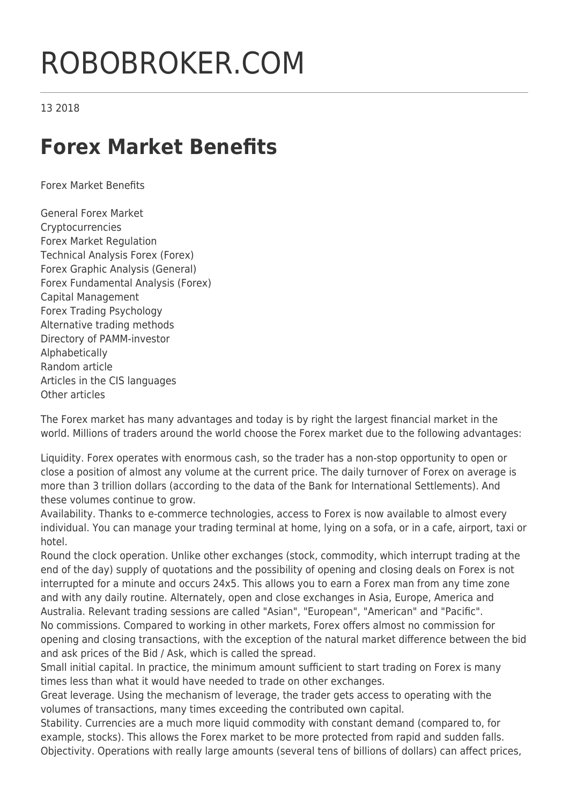## ROBOBROKER.COM

13 2018

## **Forex Market Benefits**

Forex Market Benefits

General Forex Market Cryptocurrencies Forex Market Regulation Technical Analysis Forex (Forex) Forex Graphic Analysis (General) Forex Fundamental Analysis (Forex) Capital Management Forex Trading Psychology Alternative trading methods Directory of PAMM-investor Alphabetically Random article Articles in the CIS languages Other articles

The Forex market has many advantages and today is by right the largest financial market in the world. Millions of traders around the world choose the Forex market due to the following advantages:

Liquidity. Forex operates with enormous cash, so the trader has a non-stop opportunity to open or close a position of almost any volume at the current price. The daily turnover of Forex on average is more than 3 trillion dollars (according to the data of the Bank for International Settlements). And these volumes continue to grow.

Availability. Thanks to e-commerce technologies, access to Forex is now available to almost every individual. You can manage your trading terminal at home, lying on a sofa, or in a cafe, airport, taxi or hotel.

Round the clock operation. Unlike other exchanges (stock, commodity, which interrupt trading at the end of the day) supply of quotations and the possibility of opening and closing deals on Forex is not interrupted for a minute and occurs 24x5. This allows you to earn a Forex man from any time zone and with any daily routine. Alternately, open and close exchanges in Asia, Europe, America and Australia. Relevant trading sessions are called "Asian", "European", "American" and "Pacific". No commissions. Compared to working in other markets, Forex offers almost no commission for opening and closing transactions, with the exception of the natural market difference between the bid and ask prices of the Bid / Ask, which is called the spread.

Small initial capital. In practice, the minimum amount sufficient to start trading on Forex is many times less than what it would have needed to trade on other exchanges.

Great leverage. Using the mechanism of leverage, the trader gets access to operating with the volumes of transactions, many times exceeding the contributed own capital.

Stability. Currencies are a much more liquid commodity with constant demand (compared to, for example, stocks). This allows the Forex market to be more protected from rapid and sudden falls. Objectivity. Operations with really large amounts (several tens of billions of dollars) can affect prices,